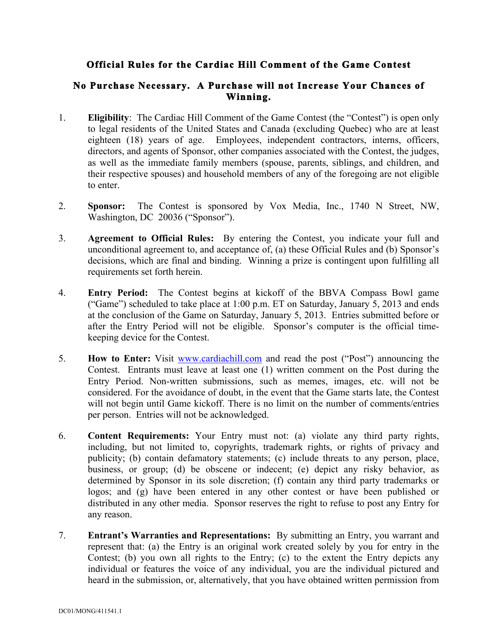## **Official Rules for the Cardiac Hill Comment of the Game Contest**

## **No Purchase Necessary. A Purchase will not Increase Your Chances of Winning.**

- 1. **Eligibility**: The Cardiac Hill Comment of the Game Contest (the "Contest") is open only to legal residents of the United States and Canada (excluding Quebec) who are at least eighteen (18) years of age. Employees, independent contractors, interns, officers, directors, and agents of Sponsor, other companies associated with the Contest, the judges, as well as the immediate family members (spouse, parents, siblings, and children, and their respective spouses) and household members of any of the foregoing are not eligible to enter.
- 2. **Sponsor:** The Contest is sponsored by Vox Media, Inc., 1740 N Street, NW, Washington, DC 20036 ("Sponsor").
- 3. **Agreement to Official Rules:** By entering the Contest, you indicate your full and unconditional agreement to, and acceptance of, (a) these Official Rules and (b) Sponsor's decisions, which are final and binding. Winning a prize is contingent upon fulfilling all requirements set forth herein.
- 4. **Entry Period:** The Contest begins at kickoff of the BBVA Compass Bowl game ("Game") scheduled to take place at 1:00 p.m. ET on Saturday, January 5, 2013 and ends at the conclusion of the Game on Saturday, January 5, 2013. Entries submitted before or after the Entry Period will not be eligible. Sponsor's computer is the official timekeeping device for the Contest.
- 5. **How to Enter:** Visit www.cardiachill.com and read the post ("Post") announcing the Contest. Entrants must leave at least one (1) written comment on the Post during the Entry Period. Non-written submissions, such as memes, images, etc. will not be considered. For the avoidance of doubt, in the event that the Game starts late, the Contest will not begin until Game kickoff. There is no limit on the number of comments/entries per person. Entries will not be acknowledged.
- 6. **Content Requirements:** Your Entry must not: (a) violate any third party rights, including, but not limited to, copyrights, trademark rights, or rights of privacy and publicity; (b) contain defamatory statements; (c) include threats to any person, place, business, or group; (d) be obscene or indecent; (e) depict any risky behavior, as determined by Sponsor in its sole discretion; (f) contain any third party trademarks or logos; and (g) have been entered in any other contest or have been published or distributed in any other media. Sponsor reserves the right to refuse to post any Entry for any reason.
- 7. **Entrant's Warranties and Representations:** By submitting an Entry, you warrant and represent that: (a) the Entry is an original work created solely by you for entry in the Contest; (b) you own all rights to the Entry; (c) to the extent the Entry depicts any individual or features the voice of any individual, you are the individual pictured and heard in the submission, or, alternatively, that you have obtained written permission from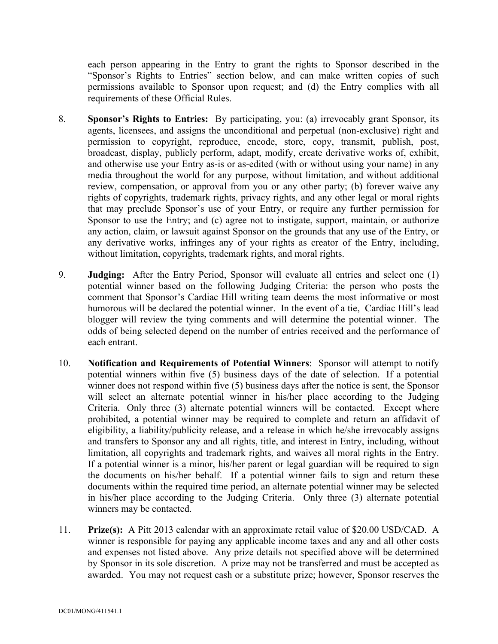each person appearing in the Entry to grant the rights to Sponsor described in the "Sponsor's Rights to Entries" section below, and can make written copies of such permissions available to Sponsor upon request; and (d) the Entry complies with all requirements of these Official Rules.

- 8. **Sponsor's Rights to Entries:** By participating, you: (a) irrevocably grant Sponsor, its agents, licensees, and assigns the unconditional and perpetual (non-exclusive) right and permission to copyright, reproduce, encode, store, copy, transmit, publish, post, broadcast, display, publicly perform, adapt, modify, create derivative works of, exhibit, and otherwise use your Entry as-is or as-edited (with or without using your name) in any media throughout the world for any purpose, without limitation, and without additional review, compensation, or approval from you or any other party; (b) forever waive any rights of copyrights, trademark rights, privacy rights, and any other legal or moral rights that may preclude Sponsor's use of your Entry, or require any further permission for Sponsor to use the Entry; and (c) agree not to instigate, support, maintain, or authorize any action, claim, or lawsuit against Sponsor on the grounds that any use of the Entry, or any derivative works, infringes any of your rights as creator of the Entry, including, without limitation, copyrights, trademark rights, and moral rights.
- 9. **Judging:** After the Entry Period, Sponsor will evaluate all entries and select one (1) potential winner based on the following Judging Criteria: the person who posts the comment that Sponsor's Cardiac Hill writing team deems the most informative or most humorous will be declared the potential winner. In the event of a tie, Cardiac Hill's lead blogger will review the tying comments and will determine the potential winner. The odds of being selected depend on the number of entries received and the performance of each entrant.
- 10. **Notification and Requirements of Potential Winners**: Sponsor will attempt to notify potential winners within five (5) business days of the date of selection. If a potential winner does not respond within five (5) business days after the notice is sent, the Sponsor will select an alternate potential winner in his/her place according to the Judging Criteria. Only three (3) alternate potential winners will be contacted. Except where prohibited, a potential winner may be required to complete and return an affidavit of eligibility, a liability/publicity release, and a release in which he/she irrevocably assigns and transfers to Sponsor any and all rights, title, and interest in Entry, including, without limitation, all copyrights and trademark rights, and waives all moral rights in the Entry. If a potential winner is a minor, his/her parent or legal guardian will be required to sign the documents on his/her behalf. If a potential winner fails to sign and return these documents within the required time period, an alternate potential winner may be selected in his/her place according to the Judging Criteria. Only three (3) alternate potential winners may be contacted.
- 11. **Prize(s):** A Pitt 2013 calendar with an approximate retail value of \$20.00 USD/CAD. A winner is responsible for paying any applicable income taxes and any and all other costs and expenses not listed above. Any prize details not specified above will be determined by Sponsor in its sole discretion. A prize may not be transferred and must be accepted as awarded. You may not request cash or a substitute prize; however, Sponsor reserves the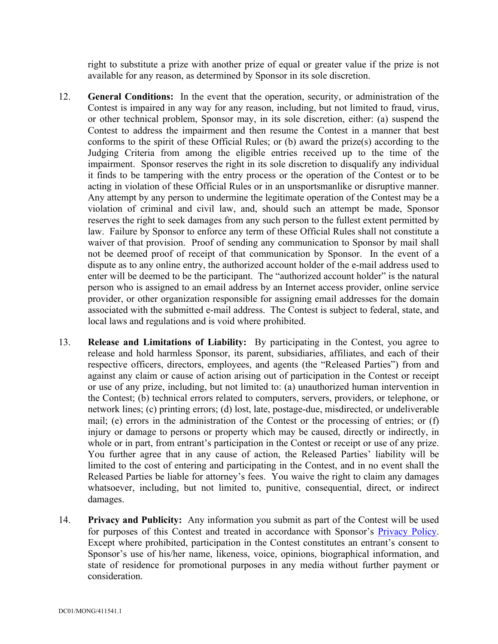right to substitute a prize with another prize of equal or greater value if the prize is not available for any reason, as determined by Sponsor in its sole discretion.

- 12. **General Conditions:** In the event that the operation, security, or administration of the Contest is impaired in any way for any reason, including, but not limited to fraud, virus, or other technical problem, Sponsor may, in its sole discretion, either: (a) suspend the Contest to address the impairment and then resume the Contest in a manner that best conforms to the spirit of these Official Rules; or (b) award the prize(s) according to the Judging Criteria from among the eligible entries received up to the time of the impairment. Sponsor reserves the right in its sole discretion to disqualify any individual it finds to be tampering with the entry process or the operation of the Contest or to be acting in violation of these Official Rules or in an unsportsmanlike or disruptive manner. Any attempt by any person to undermine the legitimate operation of the Contest may be a violation of criminal and civil law, and, should such an attempt be made, Sponsor reserves the right to seek damages from any such person to the fullest extent permitted by law. Failure by Sponsor to enforce any term of these Official Rules shall not constitute a waiver of that provision. Proof of sending any communication to Sponsor by mail shall not be deemed proof of receipt of that communication by Sponsor. In the event of a dispute as to any online entry, the authorized account holder of the e-mail address used to enter will be deemed to be the participant. The "authorized account holder" is the natural person who is assigned to an email address by an Internet access provider, online service provider, or other organization responsible for assigning email addresses for the domain associated with the submitted e-mail address. The Contest is subject to federal, state, and local laws and regulations and is void where prohibited.
- 13. **Release and Limitations of Liability:** By participating in the Contest, you agree to release and hold harmless Sponsor, its parent, subsidiaries, affiliates, and each of their respective officers, directors, employees, and agents (the "Released Parties") from and against any claim or cause of action arising out of participation in the Contest or receipt or use of any prize, including, but not limited to: (a) unauthorized human intervention in the Contest; (b) technical errors related to computers, servers, providers, or telephone, or network lines; (c) printing errors; (d) lost, late, postage-due, misdirected, or undeliverable mail; (e) errors in the administration of the Contest or the processing of entries; or (f) injury or damage to persons or property which may be caused, directly or indirectly, in whole or in part, from entrant's participation in the Contest or receipt or use of any prize. You further agree that in any cause of action, the Released Parties' liability will be limited to the cost of entering and participating in the Contest, and in no event shall the Released Parties be liable for attorney's fees. You waive the right to claim any damages whatsoever, including, but not limited to, punitive, consequential, direct, or indirect damages.
- 14. **Privacy and Publicity:** Any information you submit as part of the Contest will be used for purposes of this Contest and treated in accordance with Sponsor's Privacy Policy. Except where prohibited, participation in the Contest constitutes an entrant's consent to Sponsor's use of his/her name, likeness, voice, opinions, biographical information, and state of residence for promotional purposes in any media without further payment or consideration.